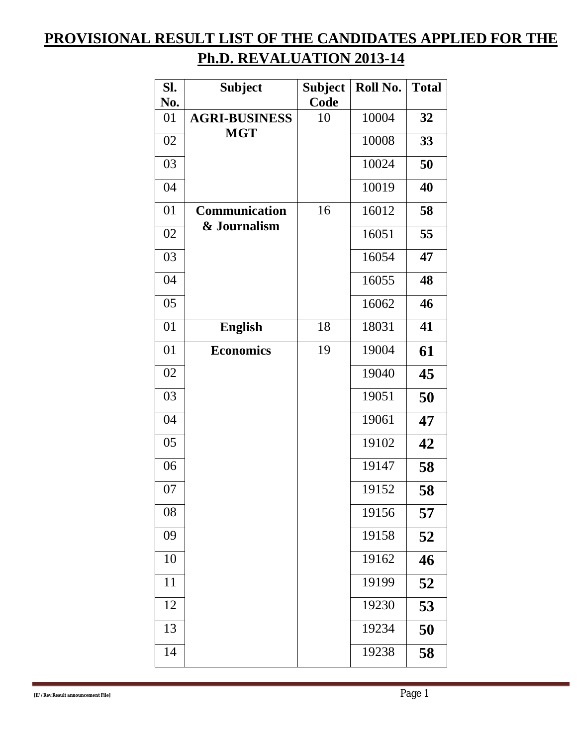## **PROVISIONAL RESULT LIST OF THE CANDIDATES APPLIED FOR THE Ph.D. REVALUATION 2013-14**

| SI.<br>No. | <b>Subject</b>       | <b>Subject</b><br>Code | Roll No. | <b>Total</b> |
|------------|----------------------|------------------------|----------|--------------|
| 01         | <b>AGRI-BUSINESS</b> | 10                     | 10004    | 32           |
| 02         | <b>MGT</b>           |                        | 10008    | 33           |
| 03         |                      |                        | 10024    | 50           |
| 04         |                      |                        | 10019    | 40           |
| 01         | Communication        | 16                     | 16012    | 58           |
| 02         | & Journalism         |                        | 16051    | 55           |
| 03         |                      |                        | 16054    | 47           |
| 04         |                      |                        | 16055    | 48           |
| 05         |                      |                        | 16062    | 46           |
| 01         | <b>English</b>       | 18                     | 18031    | 41           |
| 01         | <b>Economics</b>     | 19                     | 19004    | 61           |
| 02         |                      |                        | 19040    | 45           |
| 03         |                      |                        | 19051    | 50           |
| 04         |                      |                        | 19061    | 47           |
| 05         |                      |                        | 19102    | 42           |
| 06         |                      |                        | 19147    | 58           |
| 07         |                      |                        | 19152    | 58           |
| 08         |                      |                        | 19156    | 57           |
| 09         |                      |                        | 19158    | 52           |
| 10         |                      |                        | 19162    | 46           |
| 11         |                      |                        | 19199    | 52           |
| 12         |                      |                        | 19230    | 53           |
| 13         |                      |                        | 19234    | 50           |
| 14         |                      |                        | 19238    | 58           |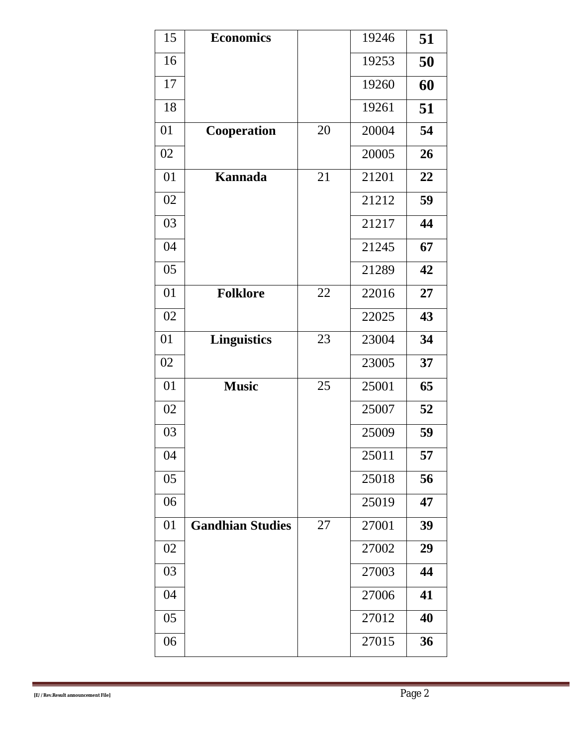| 15 | <b>Economics</b>        |    | 19246 | 51 |
|----|-------------------------|----|-------|----|
| 16 |                         |    | 19253 | 50 |
| 17 |                         |    | 19260 | 60 |
| 18 |                         |    | 19261 | 51 |
| 01 | Cooperation             | 20 | 20004 | 54 |
| 02 |                         |    | 20005 | 26 |
| 01 | Kannada                 | 21 | 21201 | 22 |
| 02 |                         |    | 21212 | 59 |
| 03 |                         |    | 21217 | 44 |
| 04 |                         |    | 21245 | 67 |
| 05 |                         |    | 21289 | 42 |
| 01 | <b>Folklore</b>         | 22 | 22016 | 27 |
| 02 |                         |    | 22025 | 43 |
| 01 | <b>Linguistics</b>      | 23 | 23004 | 34 |
| 02 |                         |    | 23005 | 37 |
| 01 | <b>Music</b>            | 25 | 25001 | 65 |
| 02 |                         |    | 25007 | 52 |
| 03 |                         |    | 25009 | 59 |
| 04 |                         |    | 25011 | 57 |
| 05 |                         |    | 25018 | 56 |
| 06 |                         |    | 25019 | 47 |
| 01 | <b>Gandhian Studies</b> | 27 | 27001 | 39 |
| 02 |                         |    | 27002 | 29 |
| 03 |                         |    | 27003 | 44 |
| 04 |                         |    | 27006 | 41 |
| 05 |                         |    | 27012 | 40 |
| 06 |                         |    | 27015 | 36 |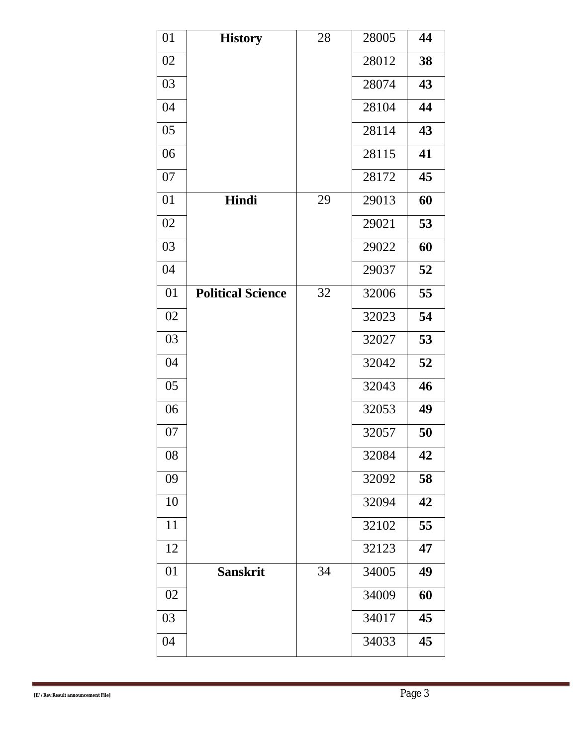| 01 | <b>History</b>           | 28 | 28005 | 44 |
|----|--------------------------|----|-------|----|
| 02 |                          |    | 28012 | 38 |
| 03 |                          |    | 28074 | 43 |
| 04 |                          |    | 28104 | 44 |
| 05 |                          |    | 28114 | 43 |
| 06 |                          |    | 28115 | 41 |
| 07 |                          |    | 28172 | 45 |
| 01 | Hindi                    | 29 | 29013 | 60 |
| 02 |                          |    | 29021 | 53 |
| 03 |                          |    | 29022 | 60 |
| 04 |                          |    | 29037 | 52 |
| 01 | <b>Political Science</b> | 32 | 32006 | 55 |
| 02 |                          |    | 32023 | 54 |
| 03 |                          |    | 32027 | 53 |
| 04 |                          |    | 32042 | 52 |
| 05 |                          |    | 32043 | 46 |
| 06 |                          |    | 32053 | 49 |
| 07 |                          |    | 32057 | 50 |
| 08 |                          |    | 32084 | 42 |
| 09 |                          |    | 32092 | 58 |
| 10 |                          |    | 32094 | 42 |
| 11 |                          |    | 32102 | 55 |
| 12 |                          |    | 32123 | 47 |
| 01 | <b>Sanskrit</b>          | 34 | 34005 | 49 |
| 02 |                          |    | 34009 | 60 |
| 03 |                          |    | 34017 | 45 |
| 04 |                          |    | 34033 | 45 |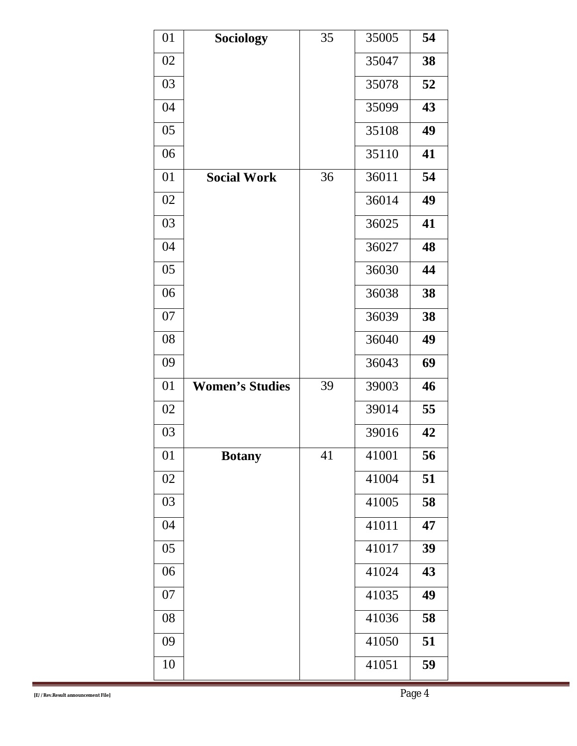| 01 | <b>Sociology</b>       | 35 | 35005 | 54 |
|----|------------------------|----|-------|----|
| 02 |                        |    | 35047 | 38 |
| 03 |                        |    | 35078 | 52 |
| 04 |                        |    | 35099 | 43 |
| 05 |                        |    | 35108 | 49 |
| 06 |                        |    | 35110 | 41 |
| 01 | <b>Social Work</b>     | 36 | 36011 | 54 |
| 02 |                        |    | 36014 | 49 |
| 03 |                        |    | 36025 | 41 |
| 04 |                        |    | 36027 | 48 |
| 05 |                        |    | 36030 | 44 |
| 06 |                        |    | 36038 | 38 |
| 07 |                        |    | 36039 | 38 |
| 08 |                        |    | 36040 | 49 |
| 09 |                        |    | 36043 | 69 |
| 01 | <b>Women's Studies</b> | 39 | 39003 | 46 |
| 02 |                        |    | 39014 | 55 |
| 03 |                        |    | 39016 | 42 |
| 01 | <b>Botany</b>          | 41 | 41001 | 56 |
| 02 |                        |    | 41004 | 51 |
| 03 |                        |    | 41005 | 58 |
| 04 |                        |    | 41011 | 47 |
| 05 |                        |    | 41017 | 39 |
| 06 |                        |    | 41024 | 43 |
| 07 |                        |    | 41035 | 49 |
| 08 |                        |    | 41036 | 58 |
| 09 |                        |    | 41050 | 51 |
| 10 |                        |    | 41051 | 59 |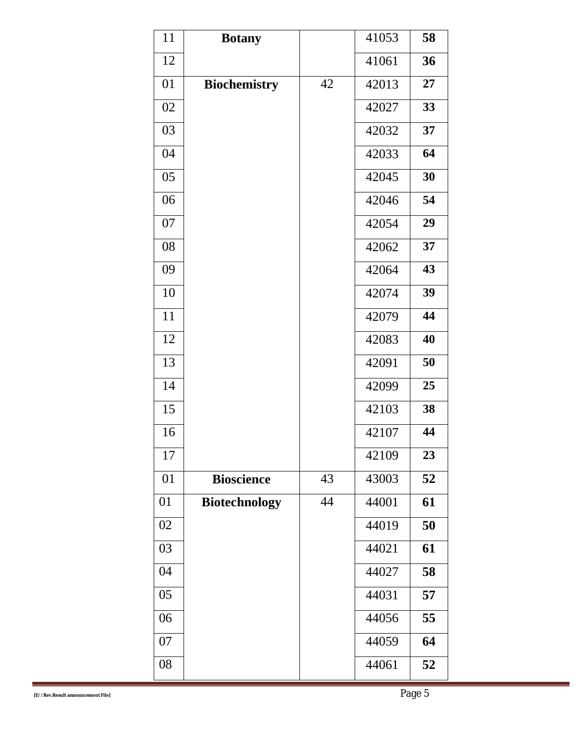| 11 | <b>Botany</b>        |    | 41053 | 58 |
|----|----------------------|----|-------|----|
| 12 |                      |    | 41061 | 36 |
| 01 | <b>Biochemistry</b>  | 42 | 42013 | 27 |
| 02 |                      |    | 42027 | 33 |
| 03 |                      |    | 42032 | 37 |
| 04 |                      |    | 42033 | 64 |
| 05 |                      |    | 42045 | 30 |
| 06 |                      |    | 42046 | 54 |
| 07 |                      |    | 42054 | 29 |
| 08 |                      |    | 42062 | 37 |
| 09 |                      |    | 42064 | 43 |
| 10 |                      |    | 42074 | 39 |
| 11 |                      |    | 42079 | 44 |
| 12 |                      |    | 42083 | 40 |
| 13 |                      |    | 42091 | 50 |
| 14 |                      |    | 42099 | 25 |
| 15 |                      |    | 42103 | 38 |
| 16 |                      |    | 42107 | 44 |
| 17 |                      |    | 42109 | 23 |
| 01 | <b>Bioscience</b>    | 43 | 43003 | 52 |
| 01 | <b>Biotechnology</b> | 44 | 44001 | 61 |
| 02 |                      |    | 44019 | 50 |
| 03 |                      |    | 44021 | 61 |
| 04 |                      |    | 44027 | 58 |
| 05 |                      |    | 44031 | 57 |
| 06 |                      |    | 44056 | 55 |
| 07 |                      |    | 44059 | 64 |
| 08 |                      |    | 44061 | 52 |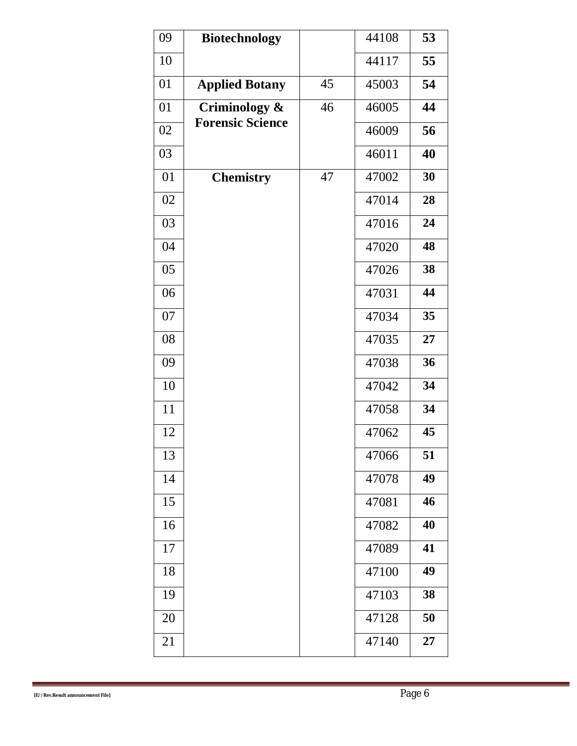| 09 | <b>Biotechnology</b>    |    | 44108 | 53 |
|----|-------------------------|----|-------|----|
| 10 |                         |    | 44117 | 55 |
| 01 | <b>Applied Botany</b>   | 45 | 45003 | 54 |
| 01 | Criminology &           | 46 | 46005 | 44 |
| 02 | <b>Forensic Science</b> |    | 46009 | 56 |
| 03 |                         |    | 46011 | 40 |
| 01 | <b>Chemistry</b>        | 47 | 47002 | 30 |
| 02 |                         |    | 47014 | 28 |
| 03 |                         |    | 47016 | 24 |
| 04 |                         |    | 47020 | 48 |
| 05 |                         |    | 47026 | 38 |
| 06 |                         |    | 47031 | 44 |
| 07 |                         |    | 47034 | 35 |
| 08 |                         |    | 47035 | 27 |
| 09 |                         |    | 47038 | 36 |
| 10 |                         |    | 47042 | 34 |
| 11 |                         |    | 47058 | 34 |
| 12 |                         |    | 47062 | 45 |
| 13 |                         |    | 47066 | 51 |
| 14 |                         |    | 47078 | 49 |
| 15 |                         |    | 47081 | 46 |
| 16 |                         |    | 47082 | 40 |
| 17 |                         |    | 47089 | 41 |
| 18 |                         |    | 47100 | 49 |
| 19 |                         |    | 47103 | 38 |
| 20 |                         |    | 47128 | 50 |
| 21 |                         |    | 47140 | 27 |
|    |                         |    |       |    |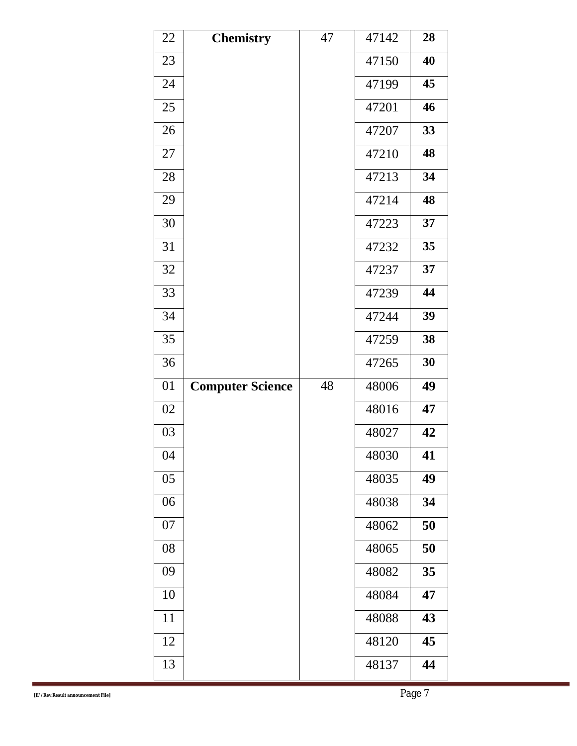| 22 | <b>Chemistry</b>        | 47 | 47142 | 28 |
|----|-------------------------|----|-------|----|
| 23 |                         |    | 47150 | 40 |
| 24 |                         |    | 47199 | 45 |
| 25 |                         |    | 47201 | 46 |
| 26 |                         |    | 47207 | 33 |
| 27 |                         |    | 47210 | 48 |
| 28 |                         |    | 47213 | 34 |
| 29 |                         |    | 47214 | 48 |
| 30 |                         |    | 47223 | 37 |
| 31 |                         |    | 47232 | 35 |
| 32 |                         |    | 47237 | 37 |
| 33 |                         |    | 47239 | 44 |
| 34 |                         |    | 47244 | 39 |
| 35 |                         |    | 47259 | 38 |
| 36 |                         |    | 47265 | 30 |
| 01 | <b>Computer Science</b> | 48 | 48006 | 49 |
| 02 |                         |    | 48016 | 47 |
| 03 |                         |    | 48027 | 42 |
| 04 |                         |    | 48030 | 41 |
| 05 |                         |    | 48035 | 49 |
| 06 |                         |    | 48038 | 34 |
| 07 |                         |    | 48062 | 50 |
| 08 |                         |    | 48065 | 50 |
| 09 |                         |    | 48082 | 35 |
| 10 |                         |    | 48084 | 47 |
| 11 |                         |    | 48088 | 43 |
| 12 |                         |    | 48120 | 45 |
| 13 |                         |    | 48137 | 44 |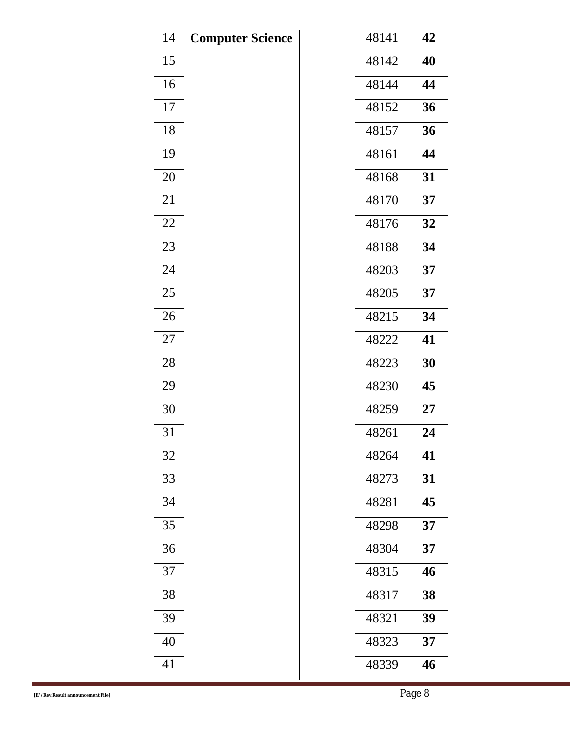| 14 | <b>Computer Science</b> | 48141 | 42 |
|----|-------------------------|-------|----|
| 15 |                         | 48142 | 40 |
| 16 |                         | 48144 | 44 |
| 17 |                         | 48152 | 36 |
| 18 |                         | 48157 | 36 |
| 19 |                         | 48161 | 44 |
| 20 |                         | 48168 | 31 |
| 21 |                         | 48170 | 37 |
| 22 |                         | 48176 | 32 |
| 23 |                         | 48188 | 34 |
| 24 |                         | 48203 | 37 |
| 25 |                         | 48205 | 37 |
| 26 |                         | 48215 | 34 |
| 27 |                         | 48222 | 41 |
| 28 |                         | 48223 | 30 |
| 29 |                         | 48230 | 45 |
| 30 |                         | 48259 | 27 |
| 31 |                         | 48261 | 24 |
| 32 |                         | 48264 | 41 |
| 33 |                         | 48273 | 31 |
| 34 |                         | 48281 | 45 |
| 35 |                         | 48298 | 37 |
| 36 |                         | 48304 | 37 |
| 37 |                         | 48315 | 46 |
| 38 |                         | 48317 | 38 |
| 39 |                         | 48321 | 39 |
| 40 |                         | 48323 | 37 |
| 41 |                         | 48339 | 46 |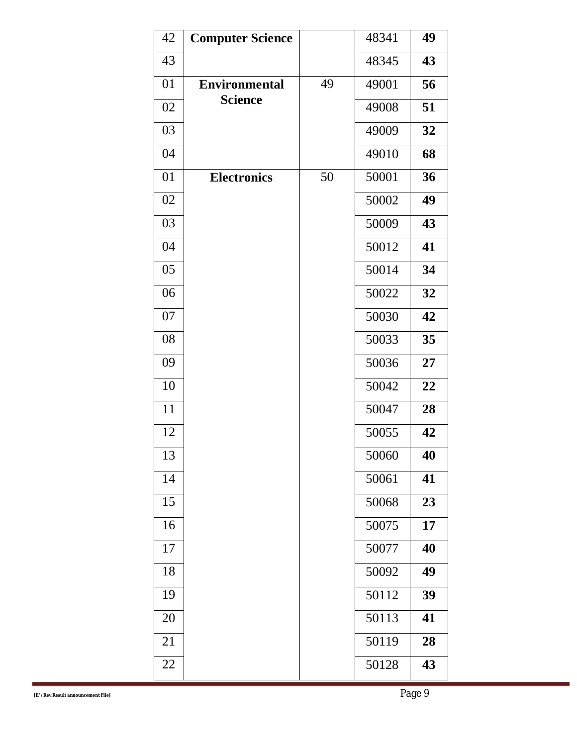| 42 | <b>Computer Science</b> |    | 48341 | 49 |
|----|-------------------------|----|-------|----|
| 43 |                         |    | 48345 | 43 |
| 01 | <b>Environmental</b>    | 49 | 49001 | 56 |
| 02 | <b>Science</b>          |    | 49008 | 51 |
| 03 |                         |    | 49009 | 32 |
| 04 |                         |    | 49010 | 68 |
| 01 | <b>Electronics</b>      | 50 | 50001 | 36 |
| 02 |                         |    | 50002 | 49 |
| 03 |                         |    | 50009 | 43 |
| 04 |                         |    | 50012 | 41 |
| 05 |                         |    | 50014 | 34 |
| 06 |                         |    | 50022 | 32 |
| 07 |                         |    | 50030 | 42 |
| 08 |                         |    | 50033 | 35 |
| 09 |                         |    | 50036 | 27 |
| 10 |                         |    | 50042 | 22 |
| 11 |                         |    | 50047 | 28 |
| 12 |                         |    | 50055 | 42 |
| 13 |                         |    | 50060 | 40 |
| 14 |                         |    | 50061 | 41 |
| 15 |                         |    | 50068 | 23 |
| 16 |                         |    | 50075 | 17 |
| 17 |                         |    | 50077 | 40 |
| 18 |                         |    | 50092 | 49 |
| 19 |                         |    | 50112 | 39 |
| 20 |                         |    | 50113 | 41 |
| 21 |                         |    | 50119 | 28 |
| 22 |                         |    | 50128 | 43 |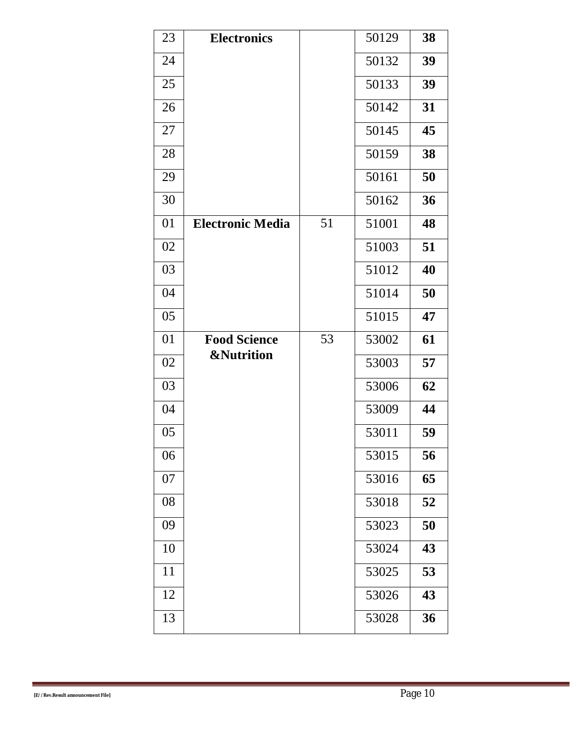| 23 | <b>Electronics</b>      |    | 50129 | 38 |
|----|-------------------------|----|-------|----|
| 24 |                         |    | 50132 | 39 |
| 25 |                         |    | 50133 | 39 |
| 26 |                         |    | 50142 | 31 |
| 27 |                         |    | 50145 | 45 |
| 28 |                         |    | 50159 | 38 |
| 29 |                         |    | 50161 | 50 |
| 30 |                         |    | 50162 | 36 |
| 01 | <b>Electronic Media</b> | 51 | 51001 | 48 |
| 02 |                         |    | 51003 | 51 |
| 03 |                         |    | 51012 | 40 |
| 04 |                         |    | 51014 | 50 |
| 05 |                         |    | 51015 | 47 |
| 01 | <b>Food Science</b>     | 53 | 53002 | 61 |
| 02 | <b>&amp;Nutrition</b>   |    | 53003 | 57 |
| 03 |                         |    | 53006 | 62 |
| 04 |                         |    | 53009 | 44 |
| 05 |                         |    | 53011 | 59 |
| 06 |                         |    | 53015 | 56 |
| 07 |                         |    | 53016 | 65 |
| 08 |                         |    | 53018 | 52 |
| 09 |                         |    | 53023 | 50 |
| 10 |                         |    | 53024 | 43 |
| 11 |                         |    | 53025 | 53 |
| 12 |                         |    | 53026 | 43 |
| 13 |                         |    | 53028 | 36 |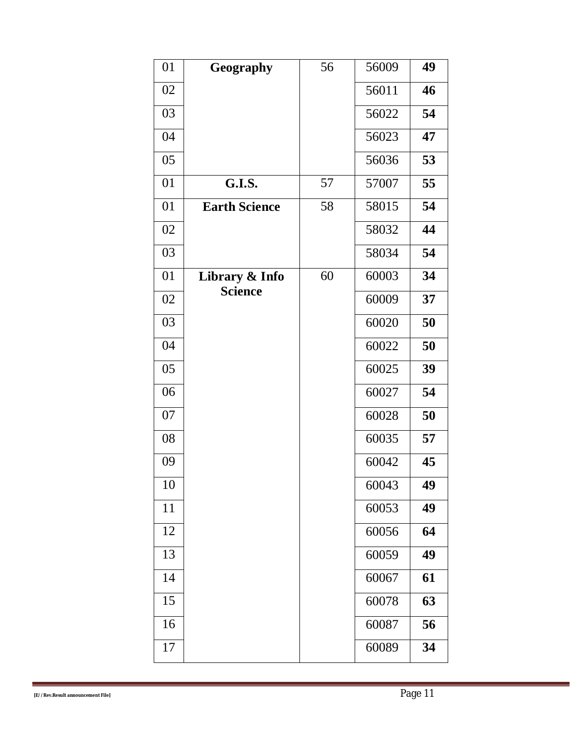| 01 | Geography            | 56 | 56009 | 49 |
|----|----------------------|----|-------|----|
| 02 |                      |    | 56011 | 46 |
| 03 |                      |    | 56022 | 54 |
| 04 |                      |    | 56023 | 47 |
| 05 |                      |    | 56036 | 53 |
| 01 | <b>G.I.S.</b>        | 57 | 57007 | 55 |
| 01 | <b>Earth Science</b> | 58 | 58015 | 54 |
| 02 |                      |    | 58032 | 44 |
| 03 |                      |    | 58034 | 54 |
| 01 | Library & Info       | 60 | 60003 | 34 |
| 02 | <b>Science</b>       |    | 60009 | 37 |
| 03 |                      |    | 60020 | 50 |
| 04 |                      |    | 60022 | 50 |
| 05 |                      |    | 60025 | 39 |
| 06 |                      |    | 60027 | 54 |
| 07 |                      |    | 60028 | 50 |
| 08 |                      |    | 60035 | 57 |
| 09 |                      |    | 60042 | 45 |
| 10 |                      |    | 60043 | 49 |
| 11 |                      |    | 60053 | 49 |
| 12 |                      |    | 60056 | 64 |
| 13 |                      |    | 60059 | 49 |
| 14 |                      |    | 60067 | 61 |
| 15 |                      |    | 60078 | 63 |
| 16 |                      |    | 60087 | 56 |
| 17 |                      |    | 60089 | 34 |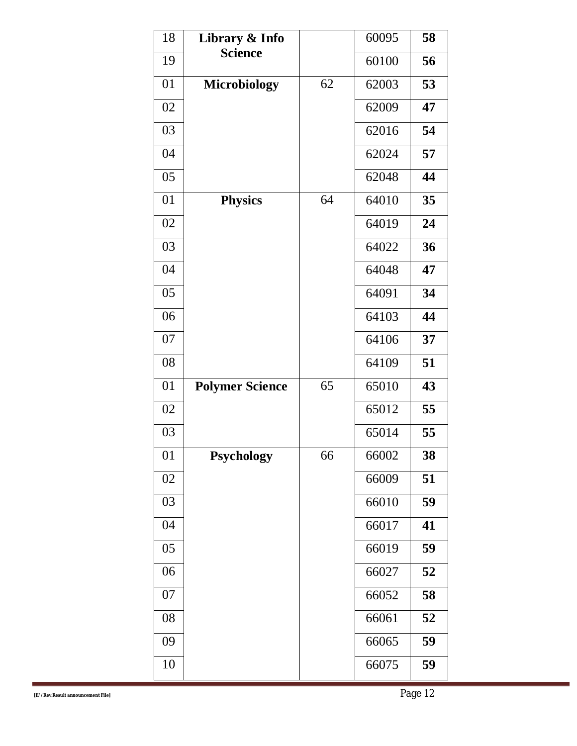| 18 | Library & Info         |    | 60095 | 58 |
|----|------------------------|----|-------|----|
| 19 | <b>Science</b>         |    | 60100 | 56 |
| 01 | <b>Microbiology</b>    | 62 | 62003 | 53 |
| 02 |                        |    | 62009 | 47 |
| 03 |                        |    | 62016 | 54 |
| 04 |                        |    | 62024 | 57 |
| 05 |                        |    | 62048 | 44 |
| 01 | <b>Physics</b>         | 64 | 64010 | 35 |
| 02 |                        |    | 64019 | 24 |
| 03 |                        |    | 64022 | 36 |
| 04 |                        |    | 64048 | 47 |
| 05 |                        |    | 64091 | 34 |
| 06 |                        |    | 64103 | 44 |
| 07 |                        |    | 64106 | 37 |
| 08 |                        |    | 64109 | 51 |
| 01 | <b>Polymer Science</b> | 65 | 65010 | 43 |
| 02 |                        |    | 65012 | 55 |
| 03 |                        |    | 65014 | 55 |
| 01 | <b>Psychology</b>      | 66 | 66002 | 38 |
| 02 |                        |    | 66009 | 51 |
| 03 |                        |    | 66010 | 59 |
| 04 |                        |    | 66017 | 41 |
| 05 |                        |    | 66019 | 59 |
| 06 |                        |    | 66027 | 52 |
| 07 |                        |    | 66052 | 58 |
| 08 |                        |    | 66061 | 52 |
| 09 |                        |    | 66065 | 59 |
| 10 |                        |    | 66075 | 59 |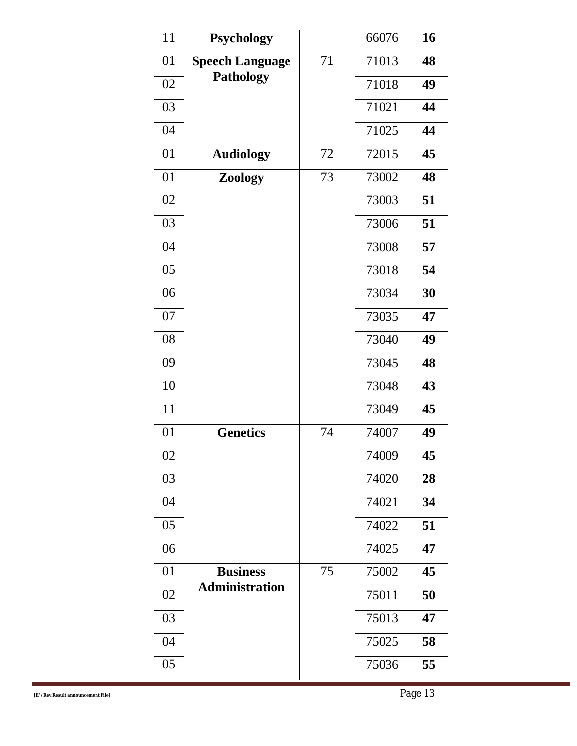| 11 | <b>Psychology</b>      |    | 66076 | 16 |
|----|------------------------|----|-------|----|
| 01 | <b>Speech Language</b> | 71 | 71013 | 48 |
| 02 | <b>Pathology</b>       |    | 71018 | 49 |
| 03 |                        |    | 71021 | 44 |
| 04 |                        |    | 71025 | 44 |
| 01 | <b>Audiology</b>       | 72 | 72015 | 45 |
| 01 | Zoology                | 73 | 73002 | 48 |
| 02 |                        |    | 73003 | 51 |
| 03 |                        |    | 73006 | 51 |
| 04 |                        |    | 73008 | 57 |
| 05 |                        |    | 73018 | 54 |
| 06 |                        |    | 73034 | 30 |
| 07 |                        |    | 73035 | 47 |
| 08 |                        |    | 73040 | 49 |
| 09 |                        |    | 73045 | 48 |
| 10 |                        |    | 73048 | 43 |
| 11 |                        |    | 73049 | 45 |
| 01 | <b>Genetics</b>        | 74 | 74007 | 49 |
| 02 |                        |    | 74009 | 45 |
| 03 |                        |    | 74020 | 28 |
| 04 |                        |    | 74021 | 34 |
| 05 |                        |    | 74022 | 51 |
| 06 |                        |    | 74025 | 47 |
| 01 | <b>Business</b>        | 75 | 75002 | 45 |
| 02 | <b>Administration</b>  |    | 75011 | 50 |
| 03 |                        |    | 75013 | 47 |
| 04 |                        |    | 75025 | 58 |
| 05 |                        |    | 75036 | 55 |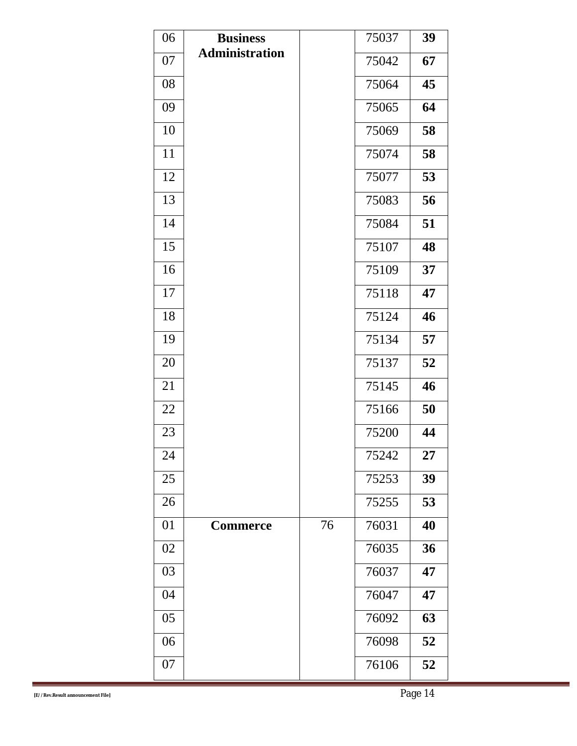| 06 | <b>Business</b>       |    | 75037 | 39 |
|----|-----------------------|----|-------|----|
| 07 | <b>Administration</b> |    | 75042 | 67 |
| 08 |                       |    | 75064 | 45 |
| 09 |                       |    | 75065 | 64 |
| 10 |                       |    | 75069 | 58 |
| 11 |                       |    | 75074 | 58 |
| 12 |                       |    | 75077 | 53 |
| 13 |                       |    | 75083 | 56 |
| 14 |                       |    | 75084 | 51 |
| 15 |                       |    | 75107 | 48 |
| 16 |                       |    | 75109 | 37 |
| 17 |                       |    | 75118 | 47 |
| 18 |                       |    | 75124 | 46 |
| 19 |                       |    | 75134 | 57 |
| 20 |                       |    | 75137 | 52 |
| 21 |                       |    | 75145 | 46 |
| 22 |                       |    | 75166 | 50 |
| 23 |                       |    | 75200 | 44 |
| 24 |                       |    | 75242 | 27 |
| 25 |                       |    | 75253 | 39 |
| 26 |                       |    | 75255 | 53 |
| 01 | <b>Commerce</b>       | 76 | 76031 | 40 |
| 02 |                       |    | 76035 | 36 |
| 03 |                       |    | 76037 | 47 |
| 04 |                       |    | 76047 | 47 |
| 05 |                       |    | 76092 | 63 |
| 06 |                       |    | 76098 | 52 |
| 07 |                       |    | 76106 | 52 |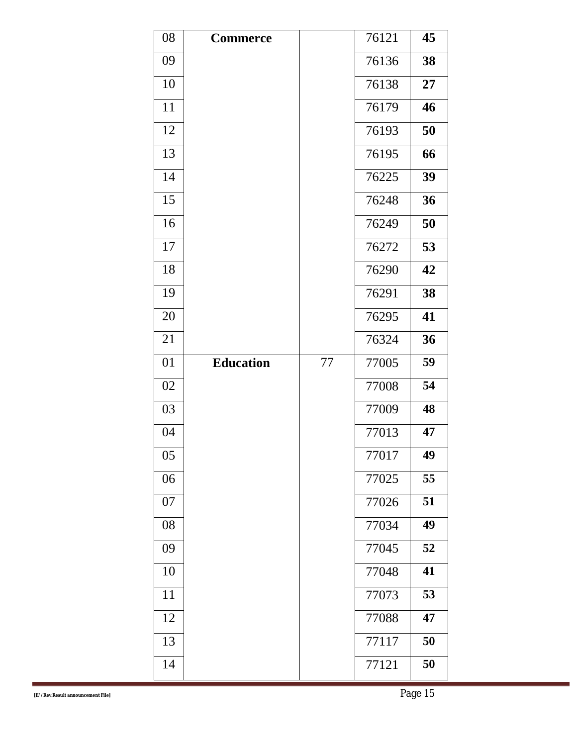| 08 | <b>Commerce</b>  |    | 76121 | 45 |
|----|------------------|----|-------|----|
| 09 |                  |    | 76136 | 38 |
| 10 |                  |    | 76138 | 27 |
| 11 |                  |    | 76179 | 46 |
| 12 |                  |    | 76193 | 50 |
| 13 |                  |    | 76195 | 66 |
| 14 |                  |    | 76225 | 39 |
| 15 |                  |    | 76248 | 36 |
| 16 |                  |    | 76249 | 50 |
| 17 |                  |    | 76272 | 53 |
| 18 |                  |    | 76290 | 42 |
| 19 |                  |    | 76291 | 38 |
| 20 |                  |    | 76295 | 41 |
| 21 |                  |    | 76324 | 36 |
| 01 | <b>Education</b> | 77 | 77005 | 59 |
| 02 |                  |    | 77008 | 54 |
| 03 |                  |    | 77009 | 48 |
| 04 |                  |    | 77013 | 47 |
| 05 |                  |    | 77017 | 49 |
| 06 |                  |    | 77025 | 55 |
| 07 |                  |    | 77026 | 51 |
| 08 |                  |    | 77034 | 49 |
| 09 |                  |    | 77045 | 52 |
| 10 |                  |    | 77048 | 41 |
| 11 |                  |    | 77073 | 53 |
| 12 |                  |    | 77088 | 47 |
| 13 |                  |    | 77117 | 50 |
| 14 |                  |    | 77121 | 50 |